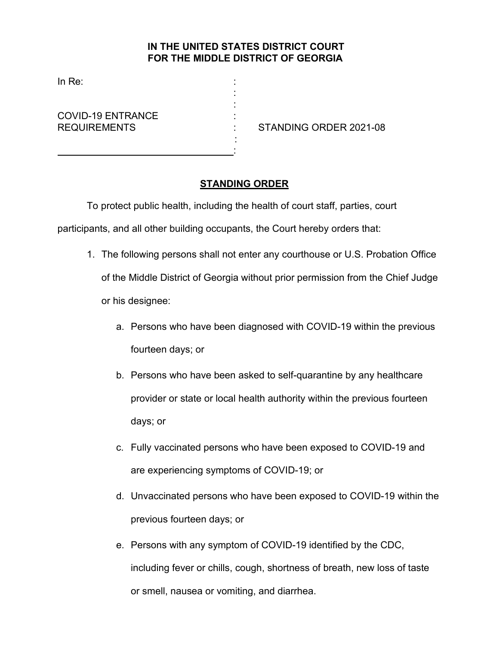## **IN THE UNITED STATES DISTRICT COURT FOR THE MIDDLE DISTRICT OF GEORGIA**

: :

 : :

In Re:

COVID-19 ENTRANCE :

REQUIREMENTS : STANDING ORDER 2021-08

## **STANDING ORDER**

To protect public health, including the health of court staff, parties, court

participants, and all other building occupants, the Court hereby orders that:

- 1. The following persons shall not enter any courthouse or U.S. Probation Office of the Middle District of Georgia without prior permission from the Chief Judge or his designee:
	- a. Persons who have been diagnosed with COVID-19 within the previous fourteen days; or
	- b. Persons who have been asked to self-quarantine by any healthcare provider or state or local health authority within the previous fourteen days; or
	- c. Fully vaccinated persons who have been exposed to COVID-19 and are experiencing symptoms of COVID-19; or
	- d. Unvaccinated persons who have been exposed to COVID-19 within the previous fourteen days; or
	- e. Persons with any symptom of COVID-19 identified by the CDC, including fever or chills, cough, shortness of breath, new loss of taste or smell, nausea or vomiting, and diarrhea.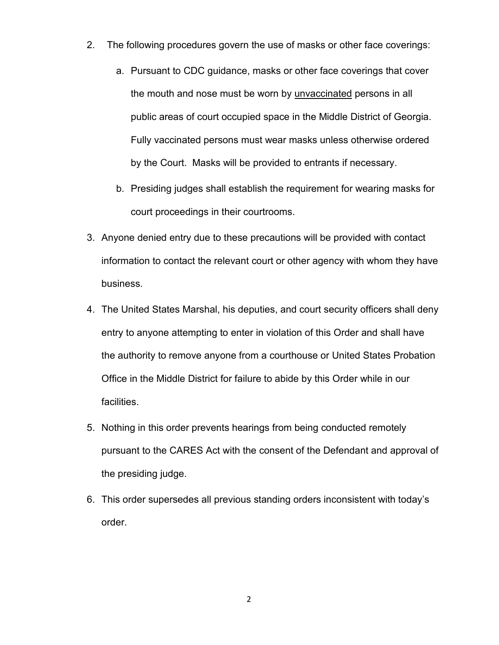- 2. The following procedures govern the use of masks or other face coverings:
	- a. Pursuant to CDC guidance, masks or other face coverings that cover the mouth and nose must be worn by unvaccinated persons in all public areas of court occupied space in the Middle District of Georgia. Fully vaccinated persons must wear masks unless otherwise ordered by the Court. Masks will be provided to entrants if necessary.
	- b. Presiding judges shall establish the requirement for wearing masks for court proceedings in their courtrooms.
- 3. Anyone denied entry due to these precautions will be provided with contact information to contact the relevant court or other agency with whom they have business.
- 4. The United States Marshal, his deputies, and court security officers shall deny entry to anyone attempting to enter in violation of this Order and shall have the authority to remove anyone from a courthouse or United States Probation Office in the Middle District for failure to abide by this Order while in our facilities.
- 5. Nothing in this order prevents hearings from being conducted remotely pursuant to the CARES Act with the consent of the Defendant and approval of the presiding judge.
- 6. This order supersedes all previous standing orders inconsistent with today's order.